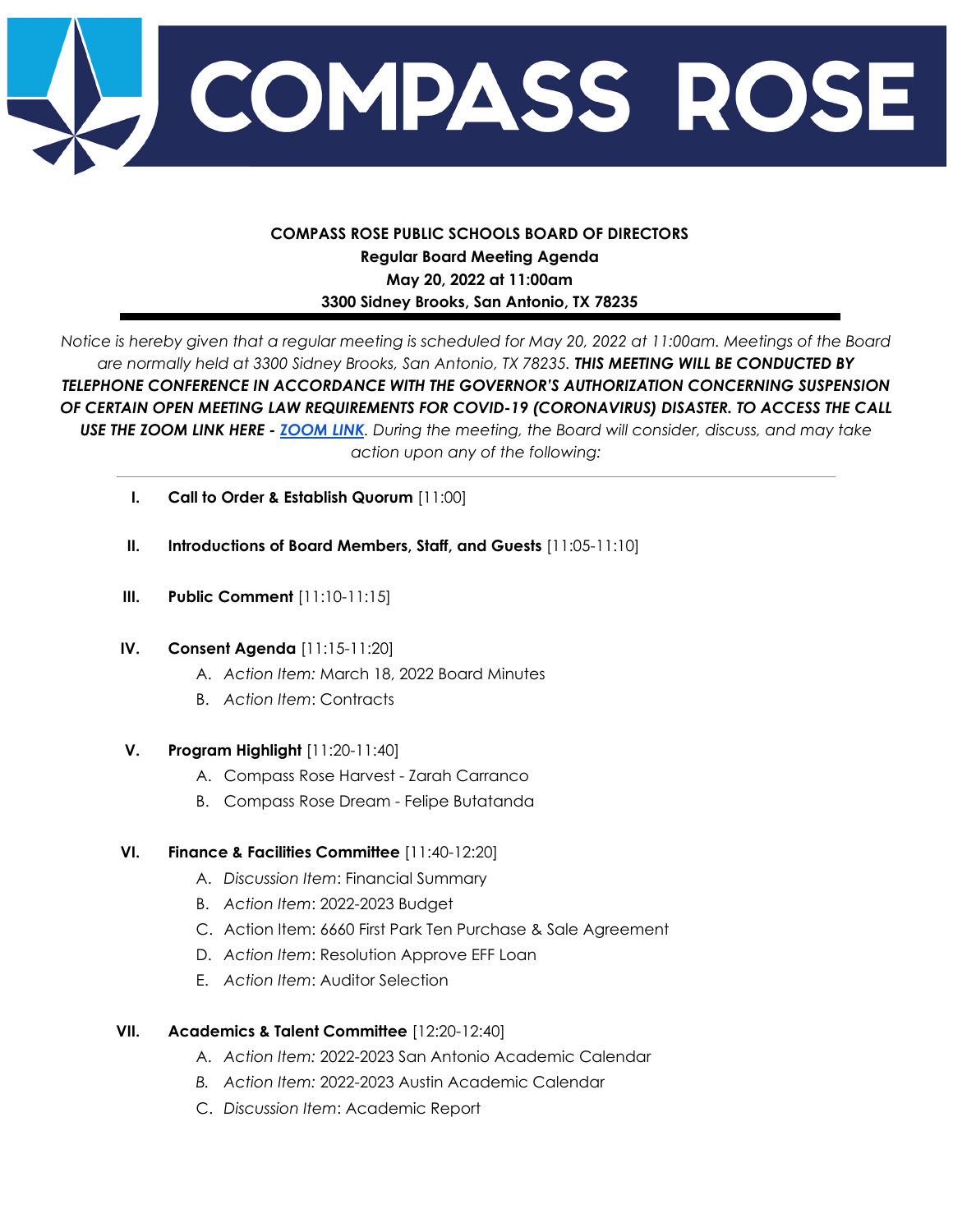

# **COMPASS ROSE PUBLIC SCHOOLS BOARD OF DIRECTORS Regular Board Meeting Agenda May 20, 2022 at 11:00am 3300 Sidney Brooks, San Antonio, TX 78235**

Notice is hereby given that a regular meeting is scheduled for May 20, 2022 at 11:00am. Meetings of the Board *are normally held at 3300 Sidney Brooks, San Antonio, TX 78235. THIS MEETING WILL BE CONDUCTED BY TELEPHONE CONFERENCE IN ACCORDANCE WITH THE GOVERNOR'S AUTHORIZATION CONCERNING SUSPENSION OF CERTAIN OPEN MEETING LAW REQUIREMENTS FOR COVID-19 (CORONAVIRUS) DISASTER. TO ACCESS THE CALL* USE THE [ZOOM](https://compassroseschools-org.zoom.us/j/6973915740) LINK HERE - ZOOM LINK. During the meeting, the Board will consider, discuss, and may take *action upon any of the following:*

- **I. Call to Order & Establish Quorum** [11:00]
- **II. Introductions of Board Members, Staff, and Guests** [11:05-11:10]
- **III. Public Comment** [11:10-11:15]

#### **IV. Consent Agenda** [11:15-11:20]

- A. *Action Item:* March 18, 2022 Board Minutes
- B. *Action Item*: Contracts

#### **V. Program Highlight** [11:20-11:40]

- A. Compass Rose Harvest Zarah Carranco
- B. Compass Rose Dream Felipe Butatanda

### **VI. Finance & Facilities Committee** [11:40-12:20]

- A. *Discussion Item*: Financial Summary
- B. *Action Item*: 2022-2023 Budget
- C. Action Item: 6660 First Park Ten Purchase & Sale Agreement
- D. *Action Item*: Resolution Approve EFF Loan
- E. *Action Item*: Auditor Selection

### **VII. Academics & Talent Committee** [12:20-12:40]

- A. *Action Item:* 2022-2023 San Antonio Academic Calendar
- *B. Action Item:* 2022-2023 Austin Academic Calendar
- C. *Discussion Item*: Academic Report